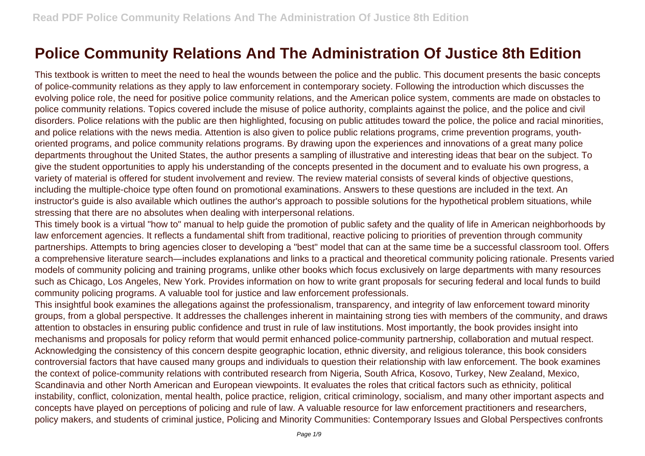## **Police Community Relations And The Administration Of Justice 8th Edition**

This textbook is written to meet the need to heal the wounds between the police and the public. This document presents the basic concepts of police-community relations as they apply to law enforcement in contemporary society. Following the introduction which discusses the evolving police role, the need for positive police community relations, and the American police system, comments are made on obstacles to police community relations. Topics covered include the misuse of police authority, complaints against the police, and the police and civil disorders. Police relations with the public are then highlighted, focusing on public attitudes toward the police, the police and racial minorities, and police relations with the news media. Attention is also given to police public relations programs, crime prevention programs, youthoriented programs, and police community relations programs. By drawing upon the experiences and innovations of a great many police departments throughout the United States, the author presents a sampling of illustrative and interesting ideas that bear on the subject. To give the student opportunities to apply his understanding of the concepts presented in the document and to evaluate his own progress, a variety of material is offered for student involvement and review. The review material consists of several kinds of objective questions, including the multiple-choice type often found on promotional examinations. Answers to these questions are included in the text. An instructor's guide is also available which outlines the author's approach to possible solutions for the hypothetical problem situations, while stressing that there are no absolutes when dealing with interpersonal relations.

This timely book is a virtual "how to" manual to help guide the promotion of public safety and the quality of life in American neighborhoods by law enforcement agencies. It reflects a fundamental shift from traditional, reactive policing to priorities of prevention through community partnerships. Attempts to bring agencies closer to developing a "best" model that can at the same time be a successful classroom tool. Offers a comprehensive literature search—includes explanations and links to a practical and theoretical community policing rationale. Presents varied models of community policing and training programs, unlike other books which focus exclusively on large departments with many resources such as Chicago, Los Angeles, New York. Provides information on how to write grant proposals for securing federal and local funds to build community policing programs. A valuable tool for justice and law enforcement professionals.

This insightful book examines the allegations against the professionalism, transparency, and integrity of law enforcement toward minority groups, from a global perspective. It addresses the challenges inherent in maintaining strong ties with members of the community, and draws attention to obstacles in ensuring public confidence and trust in rule of law institutions. Most importantly, the book provides insight into mechanisms and proposals for policy reform that would permit enhanced police-community partnership, collaboration and mutual respect. Acknowledging the consistency of this concern despite geographic location, ethnic diversity, and religious tolerance, this book considers controversial factors that have caused many groups and individuals to question their relationship with law enforcement. The book examines the context of police-community relations with contributed research from Nigeria, South Africa, Kosovo, Turkey, New Zealand, Mexico, Scandinavia and other North American and European viewpoints. It evaluates the roles that critical factors such as ethnicity, political instability, conflict, colonization, mental health, police practice, religion, critical criminology, socialism, and many other important aspects and concepts have played on perceptions of policing and rule of law. A valuable resource for law enforcement practitioners and researchers, policy makers, and students of criminal justice, Policing and Minority Communities: Contemporary Issues and Global Perspectives confronts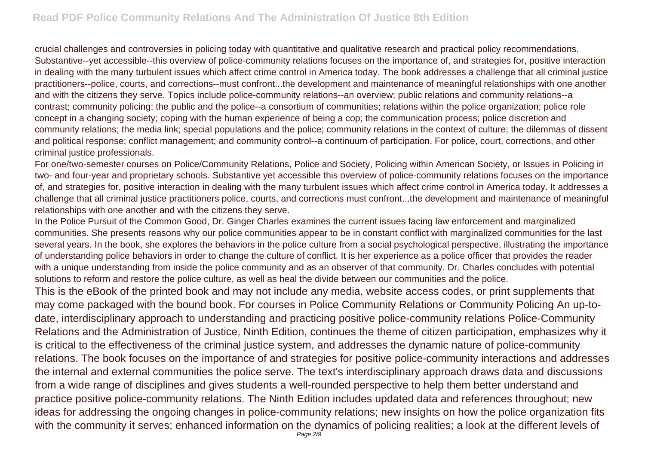crucial challenges and controversies in policing today with quantitative and qualitative research and practical policy recommendations. Substantive--yet accessible--this overview of police-community relations focuses on the importance of, and strategies for, positive interaction in dealing with the many turbulent issues which affect crime control in America today. The book addresses a challenge that all criminal justice practitioners--police, courts, and corrections--must confront...the development and maintenance of meaningful relationships with one another and with the citizens they serve. Topics include police-community relations--an overview; public relations and community relations--a contrast; community policing; the public and the police--a consortium of communities; relations within the police organization; police role concept in a changing society; coping with the human experience of being a cop; the communication process; police discretion and community relations; the media link; special populations and the police; community relations in the context of culture; the dilemmas of dissent and political response; conflict management; and community control--a continuum of participation. For police, court, corrections, and other criminal justice professionals.

For one/two-semester courses on Police/Community Relations, Police and Society, Policing within American Society, or Issues in Policing in two- and four-year and proprietary schools. Substantive yet accessible this overview of police-community relations focuses on the importance of, and strategies for, positive interaction in dealing with the many turbulent issues which affect crime control in America today. It addresses a challenge that all criminal justice practitioners police, courts, and corrections must confront...the development and maintenance of meaningful relationships with one another and with the citizens they serve.

In the Police Pursuit of the Common Good, Dr. Ginger Charles examines the current issues facing law enforcement and marginalized communities. She presents reasons why our police communities appear to be in constant conflict with marginalized communities for the last several years. In the book, she explores the behaviors in the police culture from a social psychological perspective, illustrating the importance of understanding police behaviors in order to change the culture of conflict. It is her experience as a police officer that provides the reader with a unique understanding from inside the police community and as an observer of that community. Dr. Charles concludes with potential solutions to reform and restore the police culture, as well as heal the divide between our communities and the police.

This is the eBook of the printed book and may not include any media, website access codes, or print supplements that may come packaged with the bound book. For courses in Police Community Relations or Community Policing An up-todate, interdisciplinary approach to understanding and practicing positive police-community relations Police-Community Relations and the Administration of Justice, Ninth Edition, continues the theme of citizen participation, emphasizes why it is critical to the effectiveness of the criminal justice system, and addresses the dynamic nature of police-community relations. The book focuses on the importance of and strategies for positive police-community interactions and addresses the internal and external communities the police serve. The text's interdisciplinary approach draws data and discussions from a wide range of disciplines and gives students a well-rounded perspective to help them better understand and practice positive police-community relations. The Ninth Edition includes updated data and references throughout; new ideas for addressing the ongoing changes in police-community relations; new insights on how the police organization fits with the community it serves; enhanced information on the dynamics of policing realities; a look at the different levels of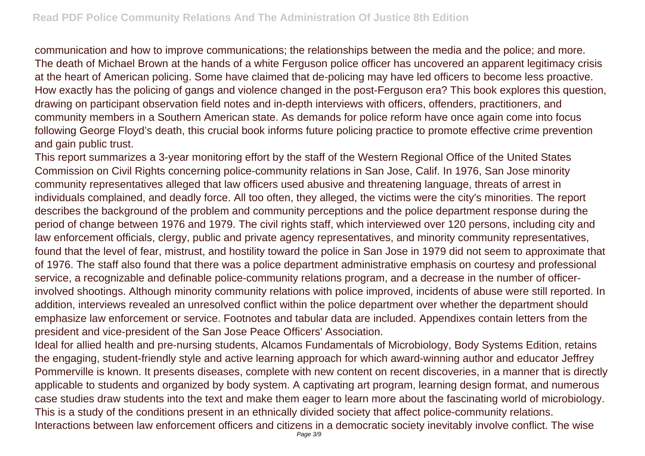communication and how to improve communications; the relationships between the media and the police; and more. The death of Michael Brown at the hands of a white Ferguson police officer has uncovered an apparent legitimacy crisis at the heart of American policing. Some have claimed that de-policing may have led officers to become less proactive. How exactly has the policing of gangs and violence changed in the post-Ferguson era? This book explores this question, drawing on participant observation field notes and in-depth interviews with officers, offenders, practitioners, and community members in a Southern American state. As demands for police reform have once again come into focus following George Floyd's death, this crucial book informs future policing practice to promote effective crime prevention and gain public trust.

This report summarizes a 3-year monitoring effort by the staff of the Western Regional Office of the United States Commission on Civil Rights concerning police-community relations in San Jose, Calif. In 1976, San Jose minority community representatives alleged that law officers used abusive and threatening language, threats of arrest in individuals complained, and deadly force. All too often, they alleged, the victims were the city's minorities. The report describes the background of the problem and community perceptions and the police department response during the period of change between 1976 and 1979. The civil rights staff, which interviewed over 120 persons, including city and law enforcement officials, clergy, public and private agency representatives, and minority community representatives, found that the level of fear, mistrust, and hostility toward the police in San Jose in 1979 did not seem to approximate that of 1976. The staff also found that there was a police department administrative emphasis on courtesy and professional service, a recognizable and definable police-community relations program, and a decrease in the number of officerinvolved shootings. Although minority community relations with police improved, incidents of abuse were still reported. In addition, interviews revealed an unresolved conflict within the police department over whether the department should emphasize law enforcement or service. Footnotes and tabular data are included. Appendixes contain letters from the president and vice-president of the San Jose Peace Officers' Association.

Ideal for allied health and pre-nursing students, Alcamos Fundamentals of Microbiology, Body Systems Edition, retains the engaging, student-friendly style and active learning approach for which award-winning author and educator Jeffrey Pommerville is known. It presents diseases, complete with new content on recent discoveries, in a manner that is directly applicable to students and organized by body system. A captivating art program, learning design format, and numerous case studies draw students into the text and make them eager to learn more about the fascinating world of microbiology. This is a study of the conditions present in an ethnically divided society that affect police-community relations. Interactions between law enforcement officers and citizens in a democratic society inevitably involve conflict. The wise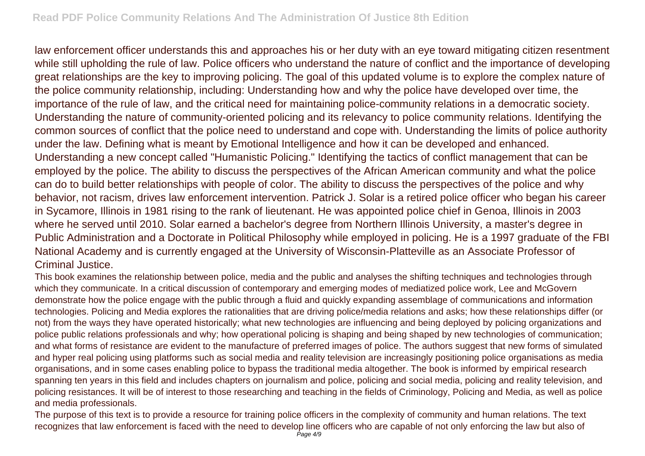law enforcement officer understands this and approaches his or her duty with an eye toward mitigating citizen resentment while still upholding the rule of law. Police officers who understand the nature of conflict and the importance of developing great relationships are the key to improving policing. The goal of this updated volume is to explore the complex nature of the police community relationship, including: Understanding how and why the police have developed over time, the importance of the rule of law, and the critical need for maintaining police-community relations in a democratic society. Understanding the nature of community-oriented policing and its relevancy to police community relations. Identifying the common sources of conflict that the police need to understand and cope with. Understanding the limits of police authority under the law. Defining what is meant by Emotional Intelligence and how it can be developed and enhanced. Understanding a new concept called "Humanistic Policing." Identifying the tactics of conflict management that can be employed by the police. The ability to discuss the perspectives of the African American community and what the police can do to build better relationships with people of color. The ability to discuss the perspectives of the police and why behavior, not racism, drives law enforcement intervention. Patrick J. Solar is a retired police officer who began his career in Sycamore, Illinois in 1981 rising to the rank of lieutenant. He was appointed police chief in Genoa, Illinois in 2003 where he served until 2010. Solar earned a bachelor's degree from Northern Illinois University, a master's degree in Public Administration and a Doctorate in Political Philosophy while employed in policing. He is a 1997 graduate of the FBI National Academy and is currently engaged at the University of Wisconsin-Platteville as an Associate Professor of Criminal Justice.

This book examines the relationship between police, media and the public and analyses the shifting techniques and technologies through which they communicate. In a critical discussion of contemporary and emerging modes of mediatized police work, Lee and McGovern demonstrate how the police engage with the public through a fluid and quickly expanding assemblage of communications and information technologies. Policing and Media explores the rationalities that are driving police/media relations and asks; how these relationships differ (or not) from the ways they have operated historically; what new technologies are influencing and being deployed by policing organizations and police public relations professionals and why; how operational policing is shaping and being shaped by new technologies of communication; and what forms of resistance are evident to the manufacture of preferred images of police. The authors suggest that new forms of simulated and hyper real policing using platforms such as social media and reality television are increasingly positioning police organisations as media organisations, and in some cases enabling police to bypass the traditional media altogether. The book is informed by empirical research spanning ten years in this field and includes chapters on journalism and police, policing and social media, policing and reality television, and policing resistances. It will be of interest to those researching and teaching in the fields of Criminology, Policing and Media, as well as police and media professionals.

The purpose of this text is to provide a resource for training police officers in the complexity of community and human relations. The text recognizes that law enforcement is faced with the need to develop line officers who are capable of not only enforcing the law but also of Page 4/9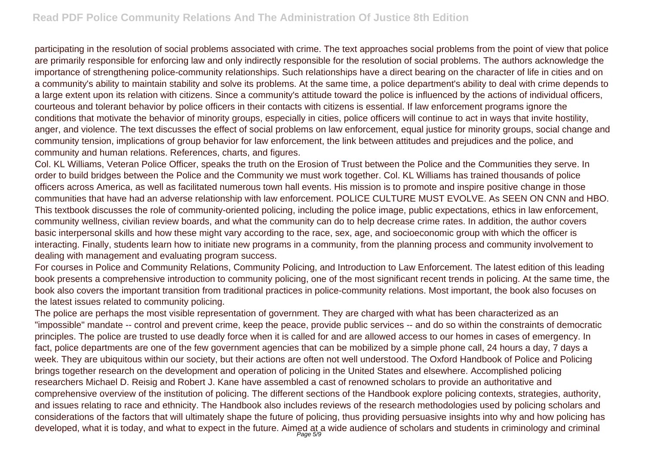participating in the resolution of social problems associated with crime. The text approaches social problems from the point of view that police are primarily responsible for enforcing law and only indirectly responsible for the resolution of social problems. The authors acknowledge the importance of strengthening police-community relationships. Such relationships have a direct bearing on the character of life in cities and on a community's ability to maintain stability and solve its problems. At the same time, a police department's ability to deal with crime depends to a large extent upon its relation with citizens. Since a community's attitude toward the police is influenced by the actions of individual officers, courteous and tolerant behavior by police officers in their contacts with citizens is essential. If law enforcement programs ignore the conditions that motivate the behavior of minority groups, especially in cities, police officers will continue to act in ways that invite hostility, anger, and violence. The text discusses the effect of social problems on law enforcement, equal justice for minority groups, social change and community tension, implications of group behavior for law enforcement, the link between attitudes and prejudices and the police, and community and human relations. References, charts, and figures.

Col. KL Williams, Veteran Police Officer, speaks the truth on the Erosion of Trust between the Police and the Communities they serve. In order to build bridges between the Police and the Community we must work together. Col. KL Williams has trained thousands of police officers across America, as well as facilitated numerous town hall events. His mission is to promote and inspire positive change in those communities that have had an adverse relationship with law enforcement. POLICE CULTURE MUST EVOLVE. As SEEN ON CNN and HBO. This textbook discusses the role of community-oriented policing, including the police image, public expectations, ethics in law enforcement, community wellness, civilian review boards, and what the community can do to help decrease crime rates. In addition, the author covers basic interpersonal skills and how these might vary according to the race, sex, age, and socioeconomic group with which the officer is interacting. Finally, students learn how to initiate new programs in a community, from the planning process and community involvement to dealing with management and evaluating program success.

For courses in Police and Community Relations, Community Policing, and Introduction to Law Enforcement. The latest edition of this leading book presents a comprehensive introduction to community policing, one of the most significant recent trends in policing. At the same time, the book also covers the important transition from traditional practices in police-community relations. Most important, the book also focuses on the latest issues related to community policing.

The police are perhaps the most visible representation of government. They are charged with what has been characterized as an "impossible" mandate -- control and prevent crime, keep the peace, provide public services -- and do so within the constraints of democratic principles. The police are trusted to use deadly force when it is called for and are allowed access to our homes in cases of emergency. In fact, police departments are one of the few government agencies that can be mobilized by a simple phone call, 24 hours a day, 7 days a week. They are ubiquitous within our society, but their actions are often not well understood. The Oxford Handbook of Police and Policing brings together research on the development and operation of policing in the United States and elsewhere. Accomplished policing researchers Michael D. Reisig and Robert J. Kane have assembled a cast of renowned scholars to provide an authoritative and comprehensive overview of the institution of policing. The different sections of the Handbook explore policing contexts, strategies, authority, and issues relating to race and ethnicity. The Handbook also includes reviews of the research methodologies used by policing scholars and considerations of the factors that will ultimately shape the future of policing, thus providing persuasive insights into why and how policing has developed, what it is today, and what to expect in the future. Aimed at a wide audience of scholars and students in criminology and criminal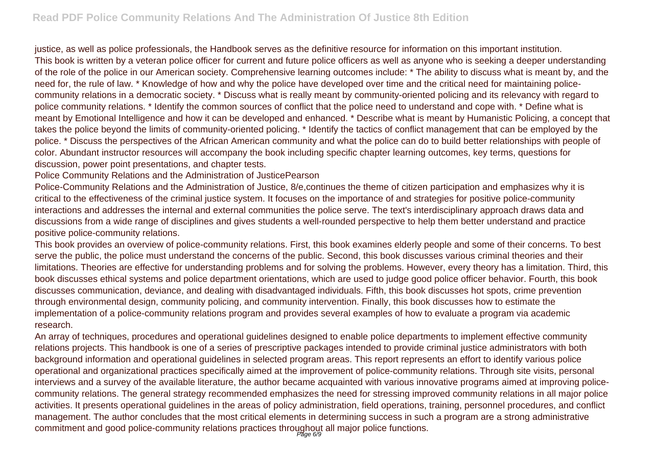justice, as well as police professionals, the Handbook serves as the definitive resource for information on this important institution. This book is written by a veteran police officer for current and future police officers as well as anyone who is seeking a deeper understanding of the role of the police in our American society. Comprehensive learning outcomes include: \* The ability to discuss what is meant by, and the need for, the rule of law. \* Knowledge of how and why the police have developed over time and the critical need for maintaining policecommunity relations in a democratic society. \* Discuss what is really meant by community-oriented policing and its relevancy with regard to police community relations. \* Identify the common sources of conflict that the police need to understand and cope with. \* Define what is meant by Emotional Intelligence and how it can be developed and enhanced. \* Describe what is meant by Humanistic Policing, a concept that takes the police beyond the limits of community-oriented policing. \* Identify the tactics of conflict management that can be employed by the police. \* Discuss the perspectives of the African American community and what the police can do to build better relationships with people of color. Abundant instructor resources will accompany the book including specific chapter learning outcomes, key terms, questions for discussion, power point presentations, and chapter tests.

Police Community Relations and the Administration of JusticePearson

Police-Community Relations and the Administration of Justice, 8/e,continues the theme of citizen participation and emphasizes why it is critical to the effectiveness of the criminal justice system. It focuses on the importance of and strategies for positive police-community interactions and addresses the internal and external communities the police serve. The text's interdisciplinary approach draws data and discussions from a wide range of disciplines and gives students a well-rounded perspective to help them better understand and practice positive police-community relations.

This book provides an overview of police-community relations. First, this book examines elderly people and some of their concerns. To best serve the public, the police must understand the concerns of the public. Second, this book discusses various criminal theories and their limitations. Theories are effective for understanding problems and for solving the problems. However, every theory has a limitation. Third, this book discusses ethical systems and police department orientations, which are used to judge good police officer behavior. Fourth, this book discusses communication, deviance, and dealing with disadvantaged individuals. Fifth, this book discusses hot spots, crime prevention through environmental design, community policing, and community intervention. Finally, this book discusses how to estimate the implementation of a police-community relations program and provides several examples of how to evaluate a program via academic research.

An array of techniques, procedures and operational quidelines designed to enable police departments to implement effective community relations projects. This handbook is one of a series of prescriptive packages intended to provide criminal justice administrators with both background information and operational guidelines in selected program areas. This report represents an effort to identify various police operational and organizational practices specifically aimed at the improvement of police-community relations. Through site visits, personal interviews and a survey of the available literature, the author became acquainted with various innovative programs aimed at improving policecommunity relations. The general strategy recommended emphasizes the need for stressing improved community relations in all major police activities. It presents operational guidelines in the areas of policy administration, field operations, training, personnel procedures, and conflict management. The author concludes that the most critical elements in determining success in such a program are a strong administrative commitment and good police-community relations practices throughout all major police functions.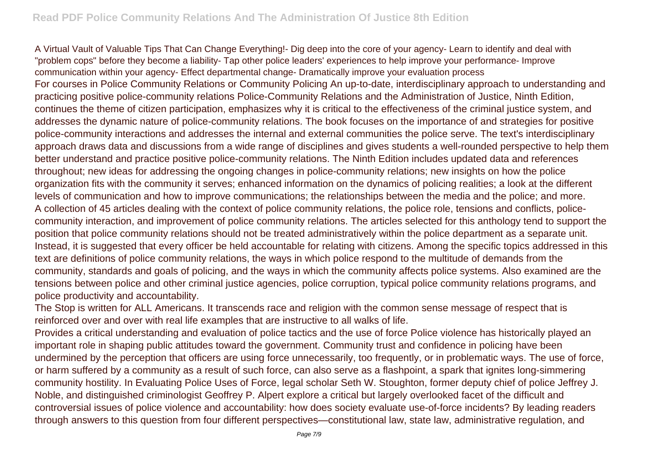A Virtual Vault of Valuable Tips That Can Change Everything!- Dig deep into the core of your agency- Learn to identify and deal with "problem cops" before they become a liability- Tap other police leaders' experiences to help improve your performance- Improve communication within your agency- Effect departmental change- Dramatically improve your evaluation process For courses in Police Community Relations or Community Policing An up-to-date, interdisciplinary approach to understanding and practicing positive police-community relations Police-Community Relations and the Administration of Justice, Ninth Edition, continues the theme of citizen participation, emphasizes why it is critical to the effectiveness of the criminal justice system, and addresses the dynamic nature of police-community relations. The book focuses on the importance of and strategies for positive police-community interactions and addresses the internal and external communities the police serve. The text's interdisciplinary approach draws data and discussions from a wide range of disciplines and gives students a well-rounded perspective to help them better understand and practice positive police-community relations. The Ninth Edition includes updated data and references throughout; new ideas for addressing the ongoing changes in police-community relations; new insights on how the police organization fits with the community it serves; enhanced information on the dynamics of policing realities; a look at the different levels of communication and how to improve communications; the relationships between the media and the police; and more. A collection of 45 articles dealing with the context of police community relations, the police role, tensions and conflicts, policecommunity interaction, and improvement of police community relations. The articles selected for this anthology tend to support the position that police community relations should not be treated administratively within the police department as a separate unit. Instead, it is suggested that every officer be held accountable for relating with citizens. Among the specific topics addressed in this text are definitions of police community relations, the ways in which police respond to the multitude of demands from the community, standards and goals of policing, and the ways in which the community affects police systems. Also examined are the tensions between police and other criminal justice agencies, police corruption, typical police community relations programs, and police productivity and accountability.

The Stop is written for ALL Americans. It transcends race and religion with the common sense message of respect that is reinforced over and over with real life examples that are instructive to all walks of life.

Provides a critical understanding and evaluation of police tactics and the use of force Police violence has historically played an important role in shaping public attitudes toward the government. Community trust and confidence in policing have been undermined by the perception that officers are using force unnecessarily, too frequently, or in problematic ways. The use of force, or harm suffered by a community as a result of such force, can also serve as a flashpoint, a spark that ignites long-simmering community hostility. In Evaluating Police Uses of Force, legal scholar Seth W. Stoughton, former deputy chief of police Jeffrey J. Noble, and distinguished criminologist Geoffrey P. Alpert explore a critical but largely overlooked facet of the difficult and controversial issues of police violence and accountability: how does society evaluate use-of-force incidents? By leading readers through answers to this question from four different perspectives—constitutional law, state law, administrative regulation, and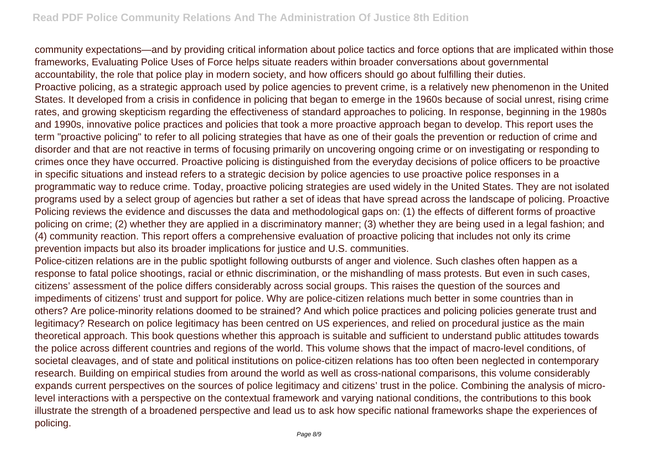community expectations—and by providing critical information about police tactics and force options that are implicated within those frameworks, Evaluating Police Uses of Force helps situate readers within broader conversations about governmental accountability, the role that police play in modern society, and how officers should go about fulfilling their duties. Proactive policing, as a strategic approach used by police agencies to prevent crime, is a relatively new phenomenon in the United States. It developed from a crisis in confidence in policing that began to emerge in the 1960s because of social unrest, rising crime rates, and growing skepticism regarding the effectiveness of standard approaches to policing. In response, beginning in the 1980s and 1990s, innovative police practices and policies that took a more proactive approach began to develop. This report uses the term "proactive policing" to refer to all policing strategies that have as one of their goals the prevention or reduction of crime and disorder and that are not reactive in terms of focusing primarily on uncovering ongoing crime or on investigating or responding to crimes once they have occurred. Proactive policing is distinguished from the everyday decisions of police officers to be proactive in specific situations and instead refers to a strategic decision by police agencies to use proactive police responses in a programmatic way to reduce crime. Today, proactive policing strategies are used widely in the United States. They are not isolated programs used by a select group of agencies but rather a set of ideas that have spread across the landscape of policing. Proactive Policing reviews the evidence and discusses the data and methodological gaps on: (1) the effects of different forms of proactive policing on crime; (2) whether they are applied in a discriminatory manner; (3) whether they are being used in a legal fashion; and (4) community reaction. This report offers a comprehensive evaluation of proactive policing that includes not only its crime prevention impacts but also its broader implications for justice and U.S. communities.

Police-citizen relations are in the public spotlight following outbursts of anger and violence. Such clashes often happen as a response to fatal police shootings, racial or ethnic discrimination, or the mishandling of mass protests. But even in such cases, citizens' assessment of the police differs considerably across social groups. This raises the question of the sources and impediments of citizens' trust and support for police. Why are police-citizen relations much better in some countries than in others? Are police-minority relations doomed to be strained? And which police practices and policing policies generate trust and legitimacy? Research on police legitimacy has been centred on US experiences, and relied on procedural justice as the main theoretical approach. This book questions whether this approach is suitable and sufficient to understand public attitudes towards the police across different countries and regions of the world. This volume shows that the impact of macro-level conditions, of societal cleavages, and of state and political institutions on police-citizen relations has too often been neglected in contemporary research. Building on empirical studies from around the world as well as cross-national comparisons, this volume considerably expands current perspectives on the sources of police legitimacy and citizens' trust in the police. Combining the analysis of microlevel interactions with a perspective on the contextual framework and varying national conditions, the contributions to this book illustrate the strength of a broadened perspective and lead us to ask how specific national frameworks shape the experiences of policing.